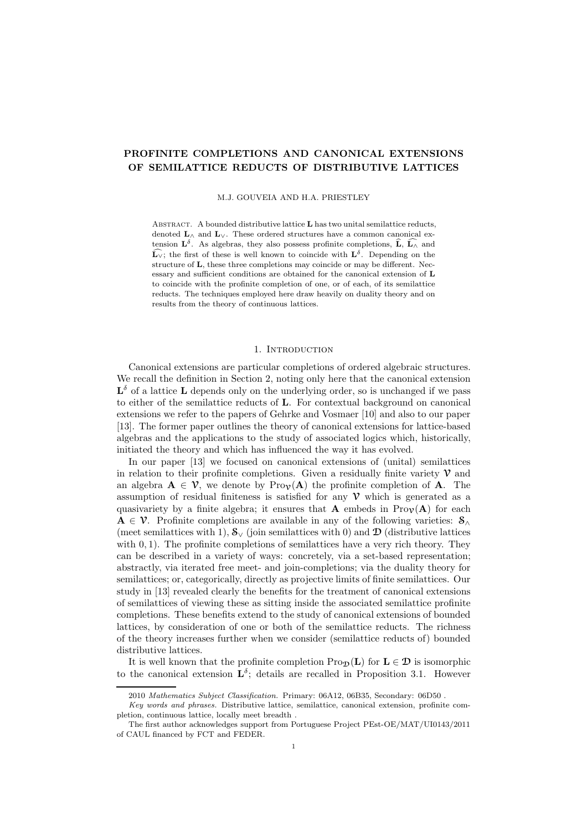# PROFINITE COMPLETIONS AND CANONICAL EXTENSIONS OF SEMILATTICE REDUCTS OF DISTRIBUTIVE LATTICES

#### M.J. GOUVEIA AND H.A. PRIESTLEY

ABSTRACT. A bounded distributive lattice  $L$  has two unital semilattice reducts, denoted  $\mathbf{L}_{\wedge}$  and  $\mathbf{L}_{\vee}$ . These ordered structures have a common canonical extension  $\mathbf{L}^{\delta}$ . As algebras, they also possess profinite completions,  $\widehat{\mathbf{L}}, \widehat{\mathbf{L}_{\wedge}}$  and  $\widehat{\mathbf{L}_{\vee}}$ ; the first of these is well known to coincide with  $\mathbf{L}^{\delta}$ . Depending on the structure of L, these three completions may coincide or may be different. Necessary and sufficient conditions are obtained for the canonical extension of L to coincide with the profinite completion of one, or of each, of its semilattice reducts. The techniques employed here draw heavily on duality theory and on results from the theory of continuous lattices.

### 1. INTRODUCTION

Canonical extensions are particular completions of ordered algebraic structures. We recall the definition in Section 2, noting only here that the canonical extension  $\mathbf{L}^{\delta}$  of a lattice  $\mathbf L$  depends only on the underlying order, so is unchanged if we pass to either of the semilattice reducts of L. For contextual background on canonical extensions we refer to the papers of Gehrke and Vosmaer [10] and also to our paper [13]. The former paper outlines the theory of canonical extensions for lattice-based algebras and the applications to the study of associated logics which, historically, initiated the theory and which has influenced the way it has evolved.

In our paper [13] we focused on canonical extensions of (unital) semilattices in relation to their profinite completions. Given a residually finite variety  $\mathcal V$  and an algebra  $A \in \mathcal{V}$ , we denote by Pro $\nu(A)$  the profinite completion of A. The assumption of residual finiteness is satisfied for any  $\nu$  which is generated as a quasivariety by a finite algebra; it ensures that **A** embeds in  $\text{Pro}_\mathcal{V}(A)$  for each  $A \in \mathcal{V}$ . Profinite completions are available in any of the following varieties:  $S_{\wedge}$ (meet semilattices with 1),  $S_y$  (join semilattices with 0) and  $\mathcal{D}$  (distributive lattices with 0, 1). The profinite completions of semilattices have a very rich theory. They can be described in a variety of ways: concretely, via a set-based representation; abstractly, via iterated free meet- and join-completions; via the duality theory for semilattices; or, categorically, directly as projective limits of finite semilattices. Our study in [13] revealed clearly the benefits for the treatment of canonical extensions of semilattices of viewing these as sitting inside the associated semilattice profinite completions. These benefits extend to the study of canonical extensions of bounded lattices, by consideration of one or both of the semilattice reducts. The richness of the theory increases further when we consider (semilattice reducts of) bounded distributive lattices.

It is well known that the profinite completion  $\text{Pro}_{\mathcal{D}}(L)$  for  $L \in \mathcal{D}$  is isomorphic to the canonical extension  $\mathbf{L}^{\delta}$ ; details are recalled in Proposition 3.1. However

<sup>2010</sup> Mathematics Subject Classification. Primary: 06A12, 06B35, Secondary: 06D50 .

Key words and phrases. Distributive lattice, semilattice, canonical extension, profinite completion, continuous lattice, locally meet breadth .

The first author acknowledges support from Portuguese Project PEst-OE/MAT/UI0143/2011 of CAUL financed by FCT and FEDER.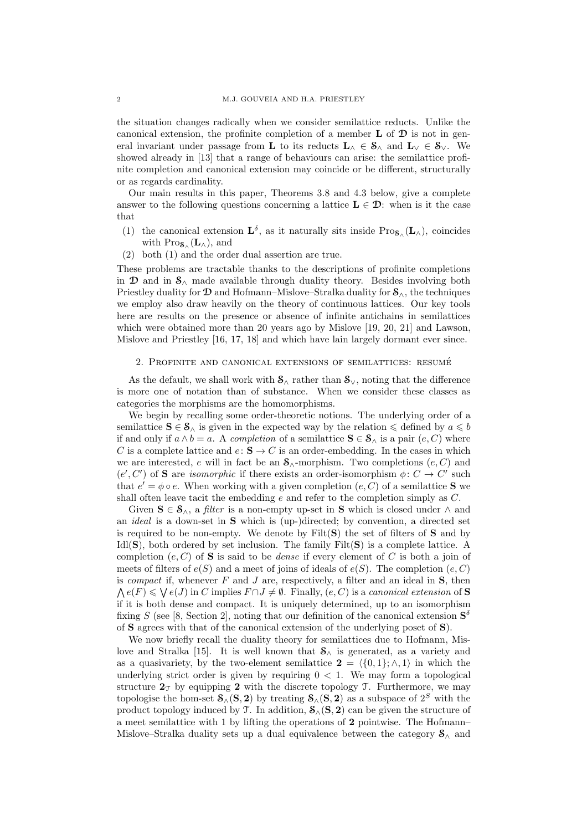the situation changes radically when we consider semilattice reducts. Unlike the canonical extension, the profinite completion of a member  $\bf{L}$  of  $\bf{D}$  is not in general invariant under passage from **L** to its reducts  $L_ \wedge \in S_ \wedge$  and  $L_ \vee \in S_ \vee$ . We showed already in [13] that a range of behaviours can arise: the semilattice profinite completion and canonical extension may coincide or be different, structurally or as regards cardinality.

Our main results in this paper, Theorems 3.8 and 4.3 below, give a complete answer to the following questions concerning a lattice  $\mathbf{L} \in \mathcal{D}$ : when is it the case that

- (1) the canonical extension  $\mathbf{L}^{\delta}$ , as it naturally sits inside  $Pro_{\mathbf{S}_{\wedge}}(\mathbf{L}_{\wedge})$ , coincides with  $\text{Pro}_{\mathbf{S}_{\wedge}}(\mathbf{L}_{\wedge}),$  and
- (2) both (1) and the order dual assertion are true.

These problems are tractable thanks to the descriptions of profinite completions in  $\mathfrak D$  and in  $\mathfrak S_\wedge$  made available through duality theory. Besides involving both Priestley duality for  $\mathcal D$  and Hofmann–Mislove–Stralka duality for  $\mathcal S_{\wedge}$ , the techniques we employ also draw heavily on the theory of continuous lattices. Our key tools here are results on the presence or absence of infinite antichains in semilattices which were obtained more than 20 years ago by Mislove [19, 20, 21] and Lawson, Mislove and Priestley [16, 17, 18] and which have lain largely dormant ever since.

#### 2. PROFINITE AND CANONICAL EXTENSIONS OF SEMILATTICES: RESUMÉ

As the default, we shall work with  $S_{\wedge}$  rather than  $S_{\vee}$ , noting that the difference is more one of notation than of substance. When we consider these classes as categories the morphisms are the homomorphisms.

We begin by recalling some order-theoretic notions. The underlying order of a semilattice  $S \in \mathcal{S}_{\wedge}$  is given in the expected way by the relation  $\leqslant$  defined by  $a \leqslant b$ if and only if  $a \wedge b = a$ . A completion of a semilattice  $S \in \mathcal{S}_{\wedge}$  is a pair  $(e, C)$  where C is a complete lattice and  $e: S \to C$  is an order-embedding. In the cases in which we are interested, e will in fact be an  $\mathcal{S}_{\wedge}$ -morphism. Two completions  $(e, C)$  and  $(e', C')$  of S are *isomorphic* if there exists an order-isomorphism  $\phi: C \to C'$  such that  $e' = \phi \circ e$ . When working with a given completion  $(e, C)$  of a semilattice **S** we shall often leave tacit the embedding  $e$  and refer to the completion simply as  $C$ .

Given  $S \in \mathcal{S}_{\wedge}$ , a *filter* is a non-empty up-set in S which is closed under  $\wedge$  and an ideal is a down-set in S which is (up-)directed; by convention, a directed set is required to be non-empty. We denote by  $Filt(S)$  the set of filters of S and by Idl( $S$ ), both ordered by set inclusion. The family Filt $(S)$  is a complete lattice. A completion  $(e, C)$  of **S** is said to be *dense* if every element of C is both a join of meets of filters of  $e(S)$  and a meet of joins of ideals of  $e(S)$ . The completion  $(e, C)$ is *compact* if, whenever  $F$  and  $J$  are, respectively, a filter and an ideal in  $S$ , then  $\bigwedge e(F) \leqslant \bigvee e(J)$  in C implies  $F \cap J \neq \emptyset$ . Finally,  $(e, C)$  is a canonical extension of S if it is both dense and compact. It is uniquely determined, up to an isomorphism fixing S (see [8, Section 2], noting that our definition of the canonical extension  $S^{\delta}$ of S agrees with that of the canonical extension of the underlying poset of S).

We now briefly recall the duality theory for semilattices due to Hofmann, Mislove and Stralka [15]. It is well known that  $S_{\wedge}$  is generated, as a variety and as a quasivariety, by the two-element semilattice  $2 = \langle \{0, 1\}; \wedge, 1\rangle$  in which the underlying strict order is given by requiring  $0 < 1$ . We may form a topological structure  $2\tau$  by equipping 2 with the discrete topology T. Furthermore, we may topologise the hom-set  $\mathcal{S}_{\wedge}(\mathbf{S}, \mathbf{2})$  by treating  $\mathcal{S}_{\wedge}(\mathbf{S}, \mathbf{2})$  as a subspace of  $2^S$  with the product topology induced by T. In addition,  $S_{\wedge}(\mathbf{S}, \mathbf{2})$  can be given the structure of a meet semilattice with 1 by lifting the operations of 2 pointwise. The Hofmann– Mislove–Stralka duality sets up a dual equivalence between the category  $\mathcal{S}_{\wedge}$  and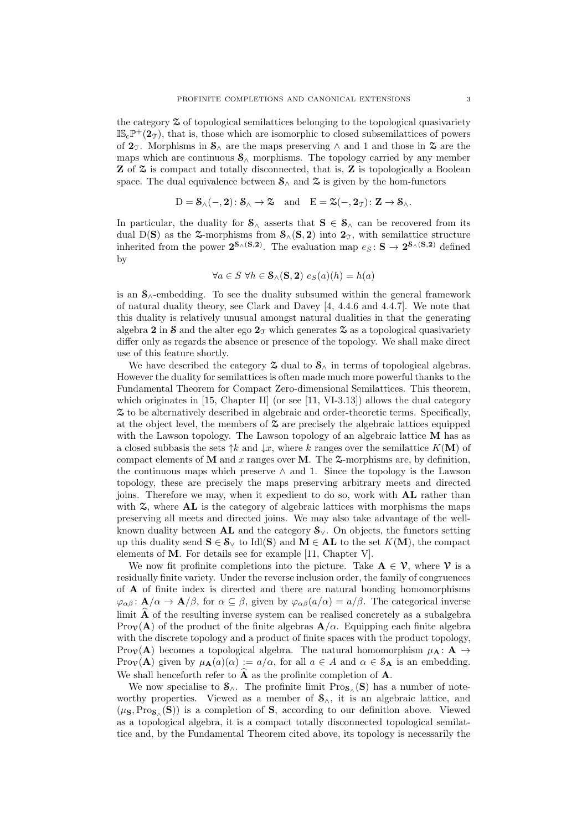the category Z of topological semilattices belonging to the topological quasivariety  $\mathbb{IS}_{c} \mathbb{P}^{+}(2_{\mathcal{T}})$ , that is, those which are isomorphic to closed subsemilattices of powers of  $2\tau$ . Morphisms in  $S_\wedge$  are the maps preserving  $\wedge$  and 1 and those in  $\mathfrak{D}$  are the maps which are continuous  $S_{\wedge}$  morphisms. The topology carried by any member  $\mathbb Z$  of  $\mathfrak S$  is compact and totally disconnected, that is,  $\mathbb Z$  is topologically a Boolean space. The dual equivalence between  $S_{\wedge}$  and  $\tilde{\mathcal{Z}}$  is given by the hom-functors

$$
D=\mathbf{S}_{\wedge}(-, \mathbf{2})\colon \mathbf{S}_{\wedge} \to \mathbf{\mathbb{Z}} \quad \mathrm{and} \quad E=\mathbf{\mathbb{Z}}(-, \mathbf{2}_{\mathbb{T}})\colon \mathbf{Z} \to \mathbf{S}_{\wedge}.
$$

In particular, the duality for  $S_\wedge$  asserts that  $S \in S_\wedge$  can be recovered from its dual D(S) as the  $\infty$ -morphisms from  $\mathcal{S}_{\wedge}(\mathbf{S}, \mathbf{2})$  into  $\mathbf{2}_{\mathcal{T}}$ , with semilattice structure inherited from the power  $2^{S_{\wedge}(S,2)}$ . The evaluation map  $e_S: S \to 2^{S_{\wedge}(S,2)}$  defined by

$$
\forall a \in S \ \forall h \in \mathcal{S}_{\land}(\mathbf{S}, \mathbf{2}) \ e_S(a)(h) = h(a)
$$

is an S∧-embedding. To see the duality subsumed within the general framework of natural duality theory, see Clark and Davey [4, 4.4.6 and 4.4.7]. We note that this duality is relatively unusual amongst natural dualities in that the generating algebra 2 in S and the alter ego  $2<sub>T</sub>$  which generates  $\tilde{\chi}$  as a topological quasivariety differ only as regards the absence or presence of the topology. We shall make direct use of this feature shortly.

We have described the category  $\mathfrak{Z}$  dual to  $\mathfrak{S}_{\wedge}$  in terms of topological algebras. However the duality for semilattices is often made much more powerful thanks to the Fundamental Theorem for Compact Zero-dimensional Semilattices. This theorem, which originates in  $[15, Chapter II]$  (or see  $[11, VI-3.13]$ ) allows the dual category Z to be alternatively described in algebraic and order-theoretic terms. Specifically, at the object level, the members of  $\mathfrak X$  are precisely the algebraic lattices equipped with the Lawson topology. The Lawson topology of an algebraic lattice M has as a closed subbasis the sets  $\uparrow k$  and  $\downarrow x$ , where k ranges over the semilattice  $K(\mathbf{M})$  of compact elements of M and x ranges over M. The  $\mathfrak{S}$ -morphisms are, by definition, the continuous maps which preserve  $\wedge$  and 1. Since the topology is the Lawson topology, these are precisely the maps preserving arbitrary meets and directed joins. Therefore we may, when it expedient to do so, work with AL rather than with  $\mathfrak{X}$ , where  $\mathbf{AL}$  is the category of algebraic lattices with morphisms the maps preserving all meets and directed joins. We may also take advantage of the wellknown duality between **AL** and the category  $\mathbf{\mathcal{S}}_{\vee}$ . On objects, the functors setting up this duality send  $S \in \mathcal{S}_{\vee}$  to Idl(S) and  $M \in \mathbf{AL}$  to the set  $K(\mathbf{M})$ , the compact elements of M. For details see for example [11, Chapter V].

We now fit profinite completions into the picture. Take  $A \in \mathcal{V}$ , where  $\mathcal{V}$  is a residually finite variety. Under the reverse inclusion order, the family of congruences of A of finite index is directed and there are natural bonding homomorphisms  $\varphi_{\alpha\beta} : \mathbf{A}/\alpha \to \mathbf{A}/\beta$ , for  $\alpha \subseteq \beta$ , given by  $\varphi_{\alpha\beta}(a/\alpha) = a/\beta$ . The categorical inverse limit  $\overline{A}$  of the resulting inverse system can be realised concretely as a subalgebra Prov(A) of the product of the finite algebras  $\mathbf{A}/\alpha$ . Equipping each finite algebra with the discrete topology and a product of finite spaces with the product topology, Prov(A) becomes a topological algebra. The natural homomorphism  $\mu_A : A \rightarrow$ Pro $\nu(A)$  given by  $\mu_{A}(a)(\alpha) := a/\alpha$ , for all  $a \in A$  and  $\alpha \in S_{A}$  is an embedding. We shall henceforth refer to  $\widehat{A}$  as the profinite completion of  $A$ .

We now specialise to  $\mathcal{S}_{\wedge}$ . The profinite limit  $\text{Pro}_{\mathcal{S}_{\wedge}}(\mathbf{S})$  has a number of noteworthy properties. Viewed as a member of  $S_{\wedge}$ , it is an algebraic lattice, and  $(\mu_{\mathbf{S}}, Pro_{\mathcal{S}_{\wedge}}(\mathbf{S}))$  is a completion of S, according to our definition above. Viewed as a topological algebra, it is a compact totally disconnected topological semilattice and, by the Fundamental Theorem cited above, its topology is necessarily the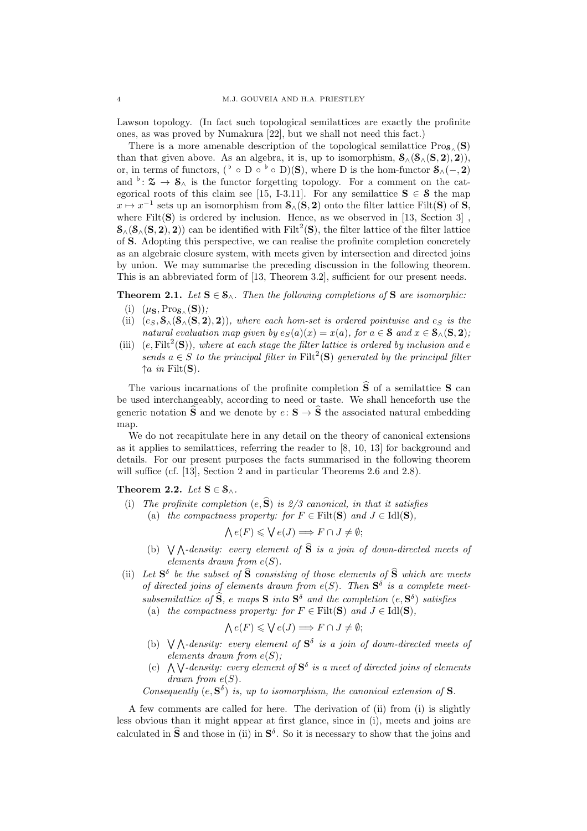Lawson topology. (In fact such topological semilattices are exactly the profinite ones, as was proved by Numakura [22], but we shall not need this fact.)

There is a more amenable description of the topological semilattice  $Pro_{\mathcal{S}_{\wedge}}(\mathbf{S})$ than that given above. As an algebra, it is, up to isomorphism,  $S_{\wedge}(S_{\wedge}(S, 2), 2)$ , or, in terms of functors, ( $\flat \circ D \circ \flat \circ D)(S)$ , where D is the hom-functor  $\mathcal{S}_{\wedge}(-, 2)$ and  $\phi: \mathfrak{D} \to \mathfrak{S}_{\wedge}$  is the functor forgetting topology. For a comment on the categorical roots of this claim see [15, I-3.11]. For any semilattice  $S \in \mathcal{S}$  the map  $x \mapsto x^{-1}$  sets up an isomorphism from  $\mathcal{S}_{\wedge}(\mathbf{S}, \mathbf{2})$  onto the filter lattice Filt $(\mathbf{S})$  of  $\mathbf{S}_{\wedge}$ where  $Filt(S)$  is ordered by inclusion. Hence, as we observed in [13, Section 3].  $\mathcal{S}_{\wedge}(\mathcal{S}_{\wedge}(\mathbf{S}, \mathbf{2}), \mathbf{2}))$  can be identified with Filt<sup>2</sup>(S), the filter lattice of the filter lattice of S. Adopting this perspective, we can realise the profinite completion concretely as an algebraic closure system, with meets given by intersection and directed joins by union. We may summarise the preceding discussion in the following theorem. This is an abbreviated form of [13, Theorem 3.2], sufficient for our present needs.

**Theorem 2.1.** Let  $S \in \mathcal{S}_{\wedge}$ . Then the following completions of S are isomorphic:

- (i)  $(\mu_{\mathbf{S}}, Pro_{\mathbf{S}_{\wedge}}(\mathbf{S}));$
- (ii)  $(e_S, \mathcal{S}_{\wedge}(\mathcal{S}_{\wedge}(S, 2), 2))$ , where each hom-set is ordered pointwise and  $e_S$  is the natural evaluation map given by  $e_S(a)(x) = x(a)$ , for  $a \in S$  and  $x \in S_\wedge(S, 2)$ ;
- (iii)  $(e, \text{Filt}^2(S))$ , where at each stage the filter lattice is ordered by inclusion and e sends  $a \in S$  to the principal filter in Filt<sup>2</sup>(S) generated by the principal filter  $\uparrow$ *a* in Filt(S).

The various incarnations of the profinite completion  $\hat{S}$  of a semilattice S can be used interchangeably, according to need or taste. We shall henceforth use the generic notation  $\hat{\mathbf{S}}$  and we denote by  $e: \mathbf{S} \to \hat{\mathbf{S}}$  the associated natural embedding map.

We do not recapitulate here in any detail on the theory of canonical extensions as it applies to semilattices, referring the reader to [8, 10, 13] for background and details. For our present purposes the facts summarised in the following theorem will suffice (cf. [13], Section 2 and in particular Theorems 2.6 and 2.8).

# Theorem 2.2. Let  $S \in \mathcal{S}_{\wedge}$ .

(i) The profinite completion  $(e, \hat{S})$  is 2/3 canonical, in that it satisfies (a) the compactness property: for  $F \in \text{Filt}(\mathbf{S})$  and  $J \in \text{Idl}(\mathbf{S})$ .

$$
\bigwedge e(F) \leqslant \bigvee e(J) \Longrightarrow F \cap J \neq \emptyset;
$$

- (b)  $\bigvee \bigwedge$ -density: every element of  $\widehat{S}$  is a join of down-directed meets of elements drawn from  $e(S)$ .
- (ii) Let  $S^{\delta}$  be the subset of  $\hat{S}$  consisting of those elements of  $\hat{S}$  which are meets of directed joins of elements drawn from  $e(S)$ . Then  $S^{\delta}$  is a complete meetsubsemilattice of  $\widehat{S}$ , e maps  $S$  into  $S^{\delta}$  and the completion  $(e, S^{\delta})$  satisfies
	- (a) the compactness property: for  $F \in \text{Filt}(\mathbf{S})$  and  $J \in \text{Idl}(\mathbf{S})$ ,

$$
\bigwedge e(F) \leqslant \bigvee e(J) \Longrightarrow F \cap J \neq \emptyset;
$$

- (b)  $\bigvee \bigwedge$ -density: every element of  $S^{\delta}$  is a join of down-directed meets of elements drawn from  $e(S)$ :
- (c)  $\bigwedge \bigvee$ -density: every element of  $S^{\delta}$  is a meet of directed joins of elements  $drawn from e(S).$

Consequently  $(e, S^{\delta})$  is, up to isomorphism, the canonical extension of S.

A few comments are called for here. The derivation of (ii) from (i) is slightly less obvious than it might appear at first glance, since in (i), meets and joins are calculated in  $\hat{\mathbf{S}}$  and those in (ii) in  $\mathbf{S}^{\delta}$ . So it is necessary to show that the joins and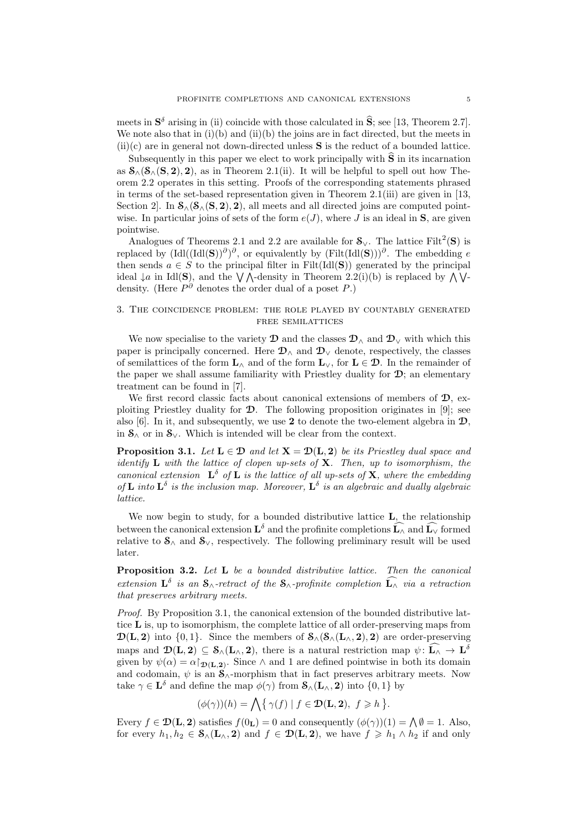meets in  $S^{\delta}$  arising in (ii) coincide with those calculated in  $\hat{S}$ ; see [13, Theorem 2.7]. We note also that in  $(i)(b)$  and  $(ii)(b)$  the joins are in fact directed, but the meets in  $(ii)(c)$  are in general not down-directed unless  $S$  is the reduct of a bounded lattice.

Subsequently in this paper we elect to work principally with  $\hat{S}$  in its incarnation as  $S_{\wedge}(S_{\wedge}(S, 2), 2)$ , as in Theorem 2.1(ii). It will be helpful to spell out how Theorem 2.2 operates in this setting. Proofs of the corresponding statements phrased in terms of the set-based representation given in Theorem 2.1(iii) are given in [13, Section 2]. In  $\mathcal{S}_{\wedge}(\mathcal{S}_{\wedge}(\mathbf{S}, 2), 2)$ , all meets and all directed joins are computed pointwise. In particular joins of sets of the form  $e(J)$ , where J is an ideal in **S**, are given pointwise.

Analogues of Theorems 2.1 and 2.2 are available for  $\mathcal{S}_{\vee}$ . The lattice Filt<sup>2</sup>(S) is replaced by  $(\text{Idl}((\text{Idl}(\mathbf{S}))^{\partial})^{\partial}$ , or equivalently by  $(\text{Filt}(\text{Idl}(\mathbf{S})))^{\partial}$ . The embedding e then sends  $a \in S$  to the principal filter in Filt(Idl(S)) generated by the principal ideal  $\downarrow a$  in Idl(S), and the  $\lor \land$ -density in Theorem 2.2(i)(b) is replaced by  $\land \lor$ density. (Here  $P^{\partial}$  denotes the order dual of a poset P.)

# 3. The coincidence problem: the role played by countably generated FREE SEMILATTICES

We now specialise to the variety  $\mathcal D$  and the classes  $\mathcal D_\wedge$  and  $\mathcal D_\vee$  with which this paper is principally concerned. Here  $\mathcal{D}_{\wedge}$  and  $\mathcal{D}_{\vee}$  denote, respectively, the classes of semilattices of the form  $\mathbf{L}_{\wedge}$  and of the form  $\mathbf{L}_{\vee}$ , for  $\mathbf{L} \in \mathcal{D}$ . In the remainder of the paper we shall assume familiarity with Priestley duality for  $\mathcal{D}$ ; an elementary treatment can be found in [7].

We first record classic facts about canonical extensions of members of  $\mathcal{D}$ , exploiting Priestley duality for  $\mathcal{D}$ . The following proposition originates in [9]; see also [6]. In it, and subsequently, we use 2 to denote the two-element algebra in  $\mathcal{D}$ , in  $S_\wedge$  or in  $S_\vee$ . Which is intended will be clear from the context.

**Proposition 3.1.** Let  $L \in \mathcal{D}$  and let  $X = \mathcal{D}(L, 2)$  be its Priestley dual space and identify  $\bf{L}$  with the lattice of clopen up-sets of  $\bf{X}$ . Then, up to isomorphism, the canonical extension  $\mathbf{L}^{\delta}$  of  $\mathbf{L}$  is the lattice of all up-sets of  $\mathbf{X}$ , where the embedding of **L** into  $\mathbf{L}^{\delta}$  is the inclusion map. Moreover,  $\mathbf{L}^{\delta}$  is an algebraic and dually algebraic lattice.

We now begin to study, for a bounded distributive lattice **L**, the relationship between the canonical extension  $\mathbf{L}^{\delta}$  and the profinite completions  $\widehat{\mathbf{L}_{\wedge}}$  and  $\widehat{\mathbf{L}_{\vee}}$  formed relative to  $S_{\wedge}$  and  $S_{\vee}$ , respectively. The following preliminary result will be used later.

Proposition 3.2. Let L be a bounded distributive lattice. Then the canonical extension  $\mathbf{L}^{\delta}$  is an  $\mathbf{S}_{\wedge}$ -retract of the  $\mathbf{S}_{\wedge}$ -profinite completion  $\widehat{\mathbf{L}_{\wedge}}$  via a retraction that preserves arbitrary meets.

Proof. By Proposition 3.1, the canonical extension of the bounded distributive lattice  $\bf{L}$  is, up to isomorphism, the complete lattice of all order-preserving maps from  $\mathcal{D}(L, 2)$  into  $\{0, 1\}$ . Since the members of  $\mathcal{S}_{\wedge}(\mathcal{S}_{\wedge}(L_{\wedge}, 2), 2)$  are order-preserving maps and  $\mathcal{D}(\mathbf{L}, \mathbf{2}) \subseteq \mathcal{S}_{\wedge}(\mathbf{L}_{\wedge}, \mathbf{2})$ , there is a natural restriction map  $\psi \colon \widehat{\mathbf{L}_{\wedge}} \to \mathbf{L}^{\delta}$ given by  $\psi(\alpha) = \alpha|_{\mathcal{D}(L,2)}$ . Since  $\wedge$  and 1 are defined pointwise in both its domain and codomain,  $\psi$  is an  $\mathbf{S}_{\wedge}$ -morphism that in fact preserves arbitrary meets. Now take  $\gamma \in \mathbf{L}^{\delta}$  and define the map  $\phi(\gamma)$  from  $\mathcal{S}_{\wedge}(\mathbf{L}_{\wedge}, \mathbf{2})$  into  $\{0,1\}$  by

$$
(\phi(\gamma))(h) = \bigwedge \{ \gamma(f) \mid f \in \mathcal{D}(\mathbf{L}, \mathbf{2}), \ f \geq h \}.
$$

Every  $f \in \mathcal{D}(\mathbf{L}, \mathbf{2})$  satisfies  $f(0_{\mathbf{L}}) = 0$  and consequently  $(\phi(\gamma))(1) = \bigwedge \emptyset = 1$ . Also, for every  $h_1, h_2 \in \mathcal{S}_{\wedge}(\mathbf{L}_{\wedge}, 2)$  and  $f \in \mathcal{D}(\mathbf{L}, 2)$ , we have  $f \geq h_1 \wedge h_2$  if and only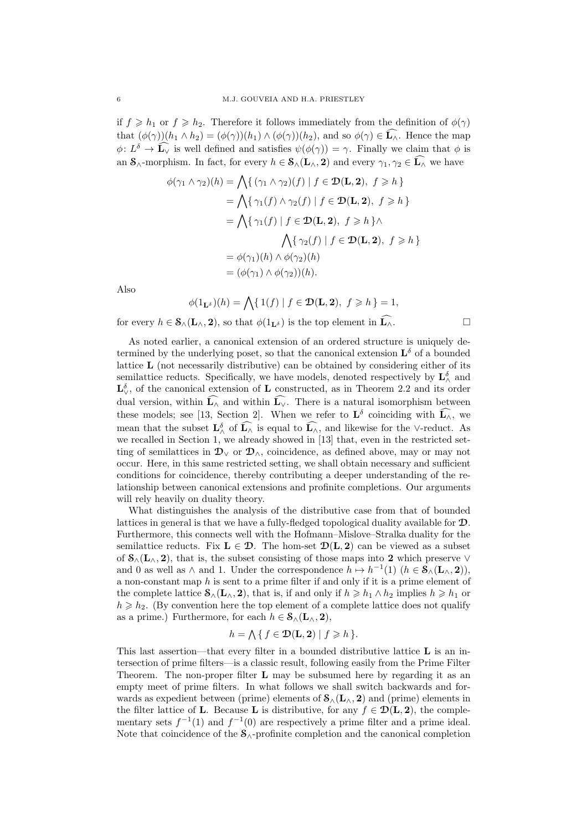if  $f \ge h_1$  or  $f \ge h_2$ . Therefore it follows immediately from the definition of  $\phi(\gamma)$ that  $(\phi(\gamma))(h_1 \wedge h_2) = (\phi(\gamma))(h_1) \wedge (\phi(\gamma))(h_2)$ , and so  $\phi(\gamma) \in \mathbf{L}_{\wedge}$ . Hence the map  $\phi: L^{\delta} \to \widehat{\mathbb{L}_{\vee}}$  is well defined and satisfies  $\psi(\phi(\gamma)) = \gamma$ . Finally we claim that  $\phi$  is an  $\mathcal{S}_{\wedge}$ -morphism. In fact, for every  $h \in \mathcal{S}_{\wedge}(\mathbf{L}_{\wedge}, \mathbf{2})$  and every  $\gamma_1, \gamma_2 \in \widehat{\mathbf{L}_{\wedge}}$  we have

$$
\phi(\gamma_1 \wedge \gamma_2)(h) = \bigwedge \{ (\gamma_1 \wedge \gamma_2)(f) \mid f \in \mathcal{D}(\mathbf{L}, \mathbf{2}), f \ge h \}
$$
  
\n
$$
= \bigwedge \{ \gamma_1(f) \wedge \gamma_2(f) \mid f \in \mathcal{D}(\mathbf{L}, \mathbf{2}), f \ge h \}
$$
  
\n
$$
= \bigwedge \{ \gamma_1(f) \mid f \in \mathcal{D}(\mathbf{L}, \mathbf{2}), f \ge h \} \wedge
$$
  
\n
$$
\bigwedge \{ \gamma_2(f) \mid f \in \mathcal{D}(\mathbf{L}, \mathbf{2}), f \ge h \}
$$
  
\n
$$
= \phi(\gamma_1)(h) \wedge \phi(\gamma_2)(h)
$$
  
\n
$$
= (\phi(\gamma_1) \wedge \phi(\gamma_2))(h).
$$

Also

$$
\phi(1_{\mathbf{L}^{\delta}})(h) = \bigwedge \{ 1(f) | f \in \mathcal{D}(\mathbf{L}, 2), f \geq h \} = 1,
$$

for every  $h \in \mathcal{S}_{\wedge}(\mathbf{L}_{\wedge}, \mathbf{2}),$  so that  $\phi(1_{\mathbf{L}^{\delta}})$  is the top element in  $\widehat{\mathbf{L}_{\wedge}}$ .

As noted earlier, a canonical extension of an ordered structure is uniquely determined by the underlying poset, so that the canonical extension  $\mathbf{L}^{\delta}$  of a bounded lattice  $\bf{L}$  (not necessarily distributive) can be obtained by considering either of its semilattice reducts. Specifically, we have models, denoted respectively by  $\mathbf{L}^{\delta}_{\wedge}$  and  $\mathbf{L}_{\vee}^{\delta}$ , of the canonical extension of  $\mathbf{L}$  constructed, as in Theorem 2.2 and its order dual version, within  $\widehat{\mathbf{L}_{\wedge}}$  and within  $\widehat{\mathbf{L}_{\vee}}$ . There is a natural isomorphism between these models; see [13, Section 2]. When we refer to  $\mathbf{L}^{\delta}$  coinciding with  $\widehat{\mathbf{L}_{\wedge}}$ , we mean that the subset  $\mathbf{L}^{\delta}_{\wedge}$  of  $\widehat{\mathbf{L}_{\wedge}}$  is equal to  $\widehat{\mathbf{L}_{\wedge}}$ , and likewise for the ∨-reduct. As we recalled in Section 1, we already showed in [13] that, even in the restricted setting of semilattices in  $\mathcal{D}_{\vee}$  or  $\mathcal{D}_{\wedge}$ , coincidence, as defined above, may or may not occur. Here, in this same restricted setting, we shall obtain necessary and sufficient conditions for coincidence, thereby contributing a deeper understanding of the relationship between canonical extensions and profinite completions. Our arguments will rely heavily on duality theory.

What distinguishes the analysis of the distributive case from that of bounded lattices in general is that we have a fully-fledged topological duality available for D. Furthermore, this connects well with the Hofmann–Mislove–Stralka duality for the semilattice reducts. Fix  $L \in \mathcal{D}$ . The hom-set  $\mathcal{D}(L, 2)$  can be viewed as a subset of  $\mathcal{S}_{\wedge}(\mathbf{L}_{\wedge}, 2)$ , that is, the subset consisting of those maps into 2 which preserve  $\vee$ and 0 as well as  $\wedge$  and 1. Under the correspondence  $h \mapsto h^{-1}(1)$   $(h \in \mathcal{S}_{\wedge}(\mathbf{L}_{\wedge}, 2)),$ a non-constant map h is sent to a prime filter if and only if it is a prime element of the complete lattice  $\mathcal{S}_{\wedge}(\mathbf{L}_{\wedge}, 2)$ , that is, if and only if  $h \geq h_1 \wedge h_2$  implies  $h \geq h_1$  or  $h \geq h_2$ . (By convention here the top element of a complete lattice does not qualify as a prime.) Furthermore, for each  $h \in \mathcal{S}_{\wedge}(\mathbf{L}_{\wedge}, 2)$ ,

$$
h = \bigwedge \{ f \in \mathcal{D}(\mathbf{L}, \mathbf{2}) \mid f \geq h \}.
$$

This last assertion—that every filter in a bounded distributive lattice  $\bf{L}$  is an intersection of prime filters—is a classic result, following easily from the Prime Filter Theorem. The non-proper filter  $L$  may be subsumed here by regarding it as an empty meet of prime filters. In what follows we shall switch backwards and forwards as expedient between (prime) elements of  $\mathbf{S}_{\wedge}(\mathbf{L}_{\wedge}, \mathbf{2})$  and (prime) elements in the filter lattice of **L**. Because **L** is distributive, for any  $f \in \mathcal{D}(\mathbf{L}, \mathbf{2})$ , the complementary sets  $f^{-1}(1)$  and  $f^{-1}(0)$  are respectively a prime filter and a prime ideal. Note that coincidence of the  $S_0$ -profinite completion and the canonical completion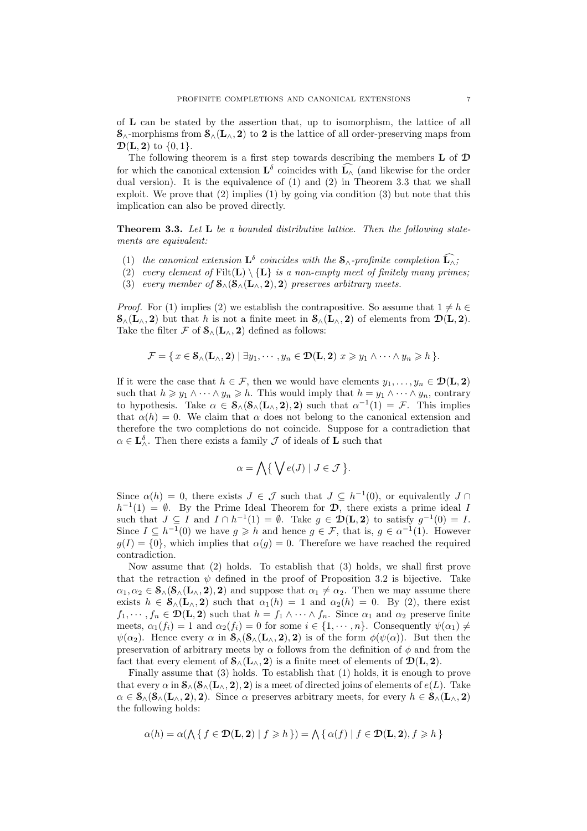of L can be stated by the assertion that, up to isomorphism, the lattice of all  $\mathcal{S}_{\wedge}$ -morphisms from  $\mathcal{S}_{\wedge}(L_{\wedge}, 2)$  to 2 is the lattice of all order-preserving maps from  $\mathcal{D}(\mathbf{L}, \mathbf{2})$  to  $\{0, 1\}.$ 

The following theorem is a first step towards describing the members L of D for which the canonical extension  $\mathbf{L}^{\delta}$  coincides with  $\widehat{\mathbf{L}_{\wedge}}$  (and likewise for the order dual version). It is the equivalence of (1) and (2) in Theorem 3.3 that we shall exploit. We prove that (2) implies (1) by going via condition (3) but note that this implication can also be proved directly.

Theorem 3.3. Let L be a bounded distributive lattice. Then the following statements are equivalent:

- (1) the canonical extension  $\mathbf{L}^{\delta}$  coincides with the  $\mathbf{S}_{\wedge}$ -profinite completion  $\widehat{\mathbf{L}_{\wedge}}$ ;
- (2) every element of  $\text{Filt}(\mathbf{L}) \setminus {\mathbf{L}}$  is a non-empty meet of finitely many primes;
- (3) every member of  $\mathcal{S}_{\wedge}(\mathcal{S}_{\wedge}(\mathbf{L}_{\wedge}, 2), 2)$  preserves arbitrary meets.

*Proof.* For (1) implies (2) we establish the contrapositive. So assume that  $1 \neq h \in$  $\mathcal{S}_{\wedge}(\mathbf{L}_{\wedge}, \mathbf{2})$  but that h is not a finite meet in  $\mathcal{S}_{\wedge}(\mathbf{L}_{\wedge}, \mathbf{2})$  of elements from  $\mathcal{D}(\mathbf{L}, \mathbf{2})$ . Take the filter  $\mathcal F$  of  $\mathcal S_\wedge(\mathbf L_\wedge, 2)$  defined as follows:

$$
\mathcal{F} = \{ x \in \mathcal{S}_{\wedge}(\mathbf{L}_{\wedge}, \mathbf{2}) \mid \exists y_1, \cdots, y_n \in \mathcal{D}(\mathbf{L}, \mathbf{2}) \mid x \geq y_1 \wedge \cdots \wedge y_n \geq h \}.
$$

If it were the case that  $h \in \mathcal{F}$ , then we would have elements  $y_1, \ldots, y_n \in \mathcal{D}(\mathbf{L}, \mathbf{2})$ such that  $h \geq y_1 \wedge \cdots \wedge y_n \geq h$ . This would imply that  $h = y_1 \wedge \cdots \wedge y_n$ , contrary to hypothesis. Take  $\alpha \in \mathcal{S}_{\land}(\mathcal{S}_{\land}(\mathbf{L}_{\land}, 2), 2)$  such that  $\alpha^{-1}(1) = \mathcal{F}$ . This implies that  $\alpha(h) = 0$ . We claim that  $\alpha$  does not belong to the canonical extension and therefore the two completions do not coincide. Suppose for a contradiction that  $\alpha \in \mathbf{L}_{\wedge}^{\delta}$ . Then there exists a family  $\mathcal J$  of ideals of **L** such that

$$
\alpha = \bigwedge \bigl\{ \bigvee e(J) \mid J \in \mathcal{J} \bigr\}.
$$

Since  $\alpha(h) = 0$ , there exists  $J \in \mathcal{J}$  such that  $J \subseteq h^{-1}(0)$ , or equivalently  $J \cap$  $h^{-1}(1) = \emptyset$ . By the Prime Ideal Theorem for **D**, there exists a prime ideal I such that  $J \subseteq I$  and  $I \cap h^{-1}(1) = \emptyset$ . Take  $g \in \mathcal{D}(\mathbf{L}, \mathbf{2})$  to satisfy  $g^{-1}(0) = I$ . Since  $I \subseteq h^{-1}(0)$  we have  $g \geq h$  and hence  $g \in \mathcal{F}$ , that is,  $g \in \alpha^{-1}(1)$ . However  $g(I) = \{0\}$ , which implies that  $\alpha(g) = 0$ . Therefore we have reached the required contradiction.

Now assume that (2) holds. To establish that (3) holds, we shall first prove that the retraction  $\psi$  defined in the proof of Proposition 3.2 is bijective. Take  $\alpha_1, \alpha_2 \in \mathcal{S}_{\wedge}(\mathcal{S}_{\wedge}(\mathbf{L}_{\wedge}, 2), 2)$  and suppose that  $\alpha_1 \neq \alpha_2$ . Then we may assume there exists  $h \in \mathcal{S}_{\wedge}(\mathbf{L}_{\wedge}, 2)$  such that  $\alpha_1(h) = 1$  and  $\alpha_2(h) = 0$ . By (2), there exist  $f_1, \dots, f_n \in \mathcal{D}(\mathbf{L}, \mathbf{2})$  such that  $h = f_1 \wedge \dots \wedge f_n$ . Since  $\alpha_1$  and  $\alpha_2$  preserve finite meets,  $\alpha_1(f_i) = 1$  and  $\alpha_2(f_i) = 0$  for some  $i \in \{1, \dots, n\}$ . Consequently  $\psi(\alpha_1) \neq \emptyset$  $\psi(\alpha_2)$ . Hence every  $\alpha$  in  $\mathcal{S}_{\wedge}(\mathcal{S}_{\wedge}(\mathbf{L}_{\wedge}, 2), 2)$  is of the form  $\phi(\psi(\alpha))$ . But then the preservation of arbitrary meets by  $\alpha$  follows from the definition of  $\phi$  and from the fact that every element of  $\mathcal{S}_{\wedge}(\mathbf{L}_{\wedge}, \mathbf{2})$  is a finite meet of elements of  $\mathcal{D}(\mathbf{L}, \mathbf{2})$ .

Finally assume that (3) holds. To establish that (1) holds, it is enough to prove that every  $\alpha$  in  $\mathcal{S}_{\wedge}(\mathcal{S}_{\wedge}(\mathbf{L}_{\wedge}, 2), 2)$  is a meet of directed joins of elements of  $e(L)$ . Take  $\alpha \in \mathcal{S}_{\wedge}(\mathcal{S}_{\wedge}(\mathbf{L}_{\wedge}, 2), 2)$ . Since  $\alpha$  preserves arbitrary meets, for every  $h \in \mathcal{S}_{\wedge}(\mathbf{L}_{\wedge}, 2)$ the following holds:

$$
\alpha(h) = \alpha(\bigwedge\{\,f \in \mathcal{D}(\mathbf{L}, \mathbf{2}) \mid f \ge h\,\}) = \bigwedge\{\,\alpha(f) \mid f \in \mathcal{D}(\mathbf{L}, \mathbf{2}), f \ge h\,\}
$$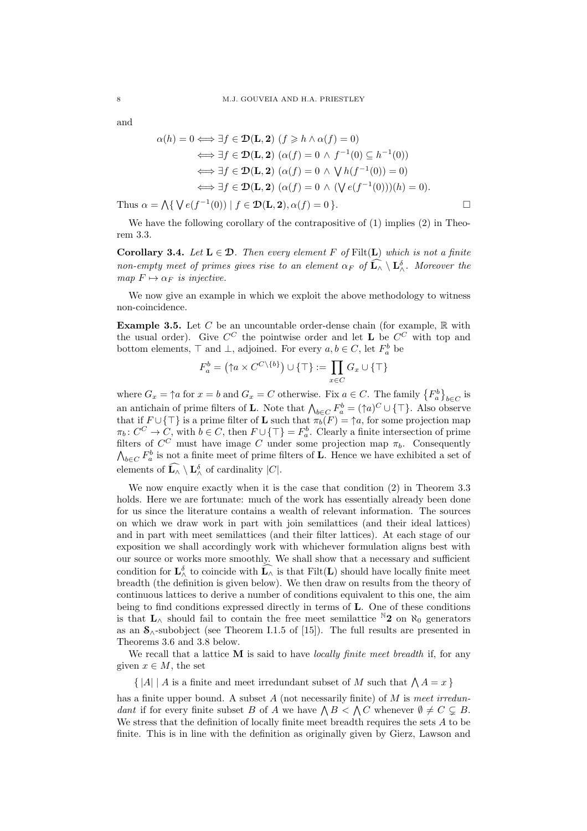and

$$
\alpha(h) = 0 \Longleftrightarrow \exists f \in \mathcal{D}(\mathbf{L}, \mathbf{2}) \ (f \geq h \land \alpha(f) = 0)
$$
  

$$
\Longleftrightarrow \exists f \in \mathcal{D}(\mathbf{L}, \mathbf{2}) \ (\alpha(f) = 0 \land f^{-1}(0) \subseteq h^{-1}(0))
$$
  

$$
\Longleftrightarrow \exists f \in \mathcal{D}(\mathbf{L}, \mathbf{2}) \ (\alpha(f) = 0 \land \bigvee h(f^{-1}(0)) = 0)
$$
  

$$
\Longleftrightarrow \exists f \in \mathcal{D}(\mathbf{L}, \mathbf{2}) \ (\alpha(f) = 0 \land (\bigvee e(f^{-1}(0)))(h) = 0).
$$
  
Thus  $\alpha = \bigwedge \{ \bigvee e(f^{-1}(0)) \mid f \in \mathcal{D}(\mathbf{L}, \mathbf{2}), \alpha(f) = 0 \}.$ 

We have the following corollary of the contrapositive of  $(1)$  implies  $(2)$  in Theorem 3.3.

Corollary 3.4. Let  $L \in \mathcal{D}$ . Then every element F of Filt(L) which is not a finite non-empty meet of primes gives rise to an element  $\alpha_F$  of  $\widehat{\mathbf{L}}_{\wedge} \setminus \mathbf{L}_{\wedge}^{\delta}$ . Moreover the map  $F \mapsto \alpha_F$  is injective.

We now give an example in which we exploit the above methodology to witness non-coincidence.

**Example 3.5.** Let C be an uncountable order-dense chain (for example,  $\mathbb{R}$  with the usual order). Give  $C^C$  the pointwise order and let **L** be  $C^C$  with top and bottom elements,  $\top$  and  $\bot$ , adjoined. For every  $a, b \in C$ , let  $F_a^b$  be

$$
F_a^b = (\uparrow a \times C^{C \setminus \{b\}}) \cup \{\top\} := \prod_{x \in C} G_x \cup \{\top\}
$$

where  $G_x = \uparrow a$  for  $x = b$  and  $G_x = C$  otherwise. Fix  $a \in C$ . The family  ${F_a^b}_{b \in C}$  is an antichain of prime filters of **L**. Note that  $\bigwedge_{b \in C} F_a^b = (\uparrow a)^C \cup \{\top\}$ . Also observe that if  $F \cup \{\top\}$  is a prime filter of **L** such that  $\pi_b(F) = \uparrow a$ , for some projection map  $\pi_b: C^C \to C$ , with  $b \in C$ , then  $F \cup {\{\top\}} = F_a^b$ . Clearly a finite intersection of prime filters of  $C^C$  must have image C under some projection map  $\pi_b$ . Consequently  $\bigwedge_{b \in C} F_a^b$  is not a finite meet of prime filters of **L**. Hence we have exhibited a set of elements of  $\widehat{\mathbf{L}_{\wedge}} \setminus \mathbf{L}_{\wedge}^{\delta}$  of cardinality  $|C|$ .

We now enquire exactly when it is the case that condition (2) in Theorem 3.3 holds. Here we are fortunate: much of the work has essentially already been done for us since the literature contains a wealth of relevant information. The sources on which we draw work in part with join semilattices (and their ideal lattices) and in part with meet semilattices (and their filter lattices). At each stage of our exposition we shall accordingly work with whichever formulation aligns best with our source or works more smoothly. We shall show that a necessary and sufficient condition for  $\mathbf{L}^{\delta}_{\wedge}$  to coincide with  $\widehat{\mathbf{L}_{\wedge}}$  is that  $\text{Filt}(\mathbf{L})$  should have locally finite meet breadth (the definition is given below). We then draw on results from the theory of continuous lattices to derive a number of conditions equivalent to this one, the aim being to find conditions expressed directly in terms of L. One of these conditions is that  $L_$ wedge should fail to contain the free meet semilattice <sup>N</sup>2 on  $\aleph_0$  generators as an  $S_0$ -subobject (see Theorem I.1.5 of [15]). The full results are presented in Theorems 3.6 and 3.8 below.

We recall that a lattice  $\bf{M}$  is said to have *locally finite meet breadth* if, for any given  $x \in M$ , the set

 $\{|A| | A$  is a finite and meet irredundant subset of M such that  $\Lambda A = x$ }

has a finite upper bound. A subset  $A$  (not necessarily finite) of  $M$  is meet irredundant if for every finite subset B of A we have  $\bigwedge B \subset \bigwedge C$  whenever  $\emptyset \neq C \subsetneq B$ . We stress that the definition of locally finite meet breadth requires the sets A to be finite. This is in line with the definition as originally given by Gierz, Lawson and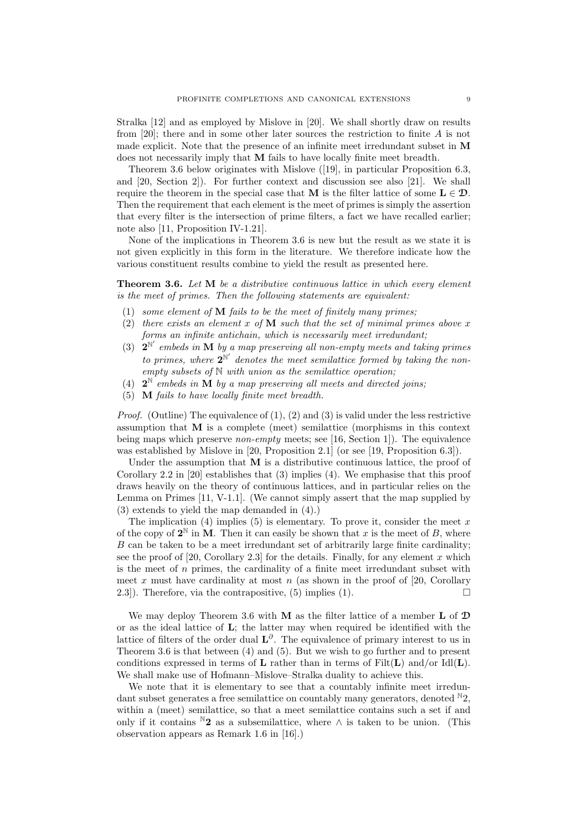Stralka [12] and as employed by Mislove in [20]. We shall shortly draw on results from [20]; there and in some other later sources the restriction to finite A is not made explicit. Note that the presence of an infinite meet irredundant subset in M does not necessarily imply that M fails to have locally finite meet breadth.

Theorem 3.6 below originates with Mislove ([19], in particular Proposition 6.3, and [20, Section 2]). For further context and discussion see also [21]. We shall require the theorem in the special case that M is the filter lattice of some  $L \in \mathcal{D}$ . Then the requirement that each element is the meet of primes is simply the assertion that every filter is the intersection of prime filters, a fact we have recalled earlier; note also [11, Proposition IV-1.21].

None of the implications in Theorem 3.6 is new but the result as we state it is not given explicitly in this form in the literature. We therefore indicate how the various constituent results combine to yield the result as presented here.

**Theorem 3.6.** Let M be a distributive continuous lattice in which every element is the meet of primes. Then the following statements are equivalent:

- (1) some element of  $M$  fails to be the meet of finitely many primes;
- (2) there exists an element x of  $\bf{M}$  such that the set of minimal primes above x forms an infinite antichain, which is necessarily meet irredundant;
- (3)  $2^{\mathbb{N}'}$  embeds in **M** by a map preserving all non-empty meets and taking primes to primes, where  $2^{\mathbb{N}'}$  denotes the meet semilattice formed by taking the non $empty subsets of  $\mathbb{N}$  with union as the semilattice operation;$
- (4)  $2^N$  embeds in  $\tilde{M}$  by a map preserving all meets and directed joins;
- (5) M fails to have locally finite meet breadth.

*Proof.* (Outline) The equivalence of  $(1)$ ,  $(2)$  and  $(3)$  is valid under the less restrictive assumption that M is a complete (meet) semilattice (morphisms in this context being maps which preserve non-empty meets; see [16, Section 1]). The equivalence was established by Mislove in [20, Proposition 2.1] (or see [19, Proposition 6.3]).

Under the assumption that  **is a distributive continuous lattice, the proof of** Corollary 2.2 in [20] establishes that (3) implies (4). We emphasise that this proof draws heavily on the theory of continuous lattices, and in particular relies on the Lemma on Primes [11, V-1.1]. (We cannot simply assert that the map supplied by (3) extends to yield the map demanded in (4).)

The implication  $(4)$  implies  $(5)$  is elementary. To prove it, consider the meet x of the copy of  $2^{\mathbb{N}}$  in  $\mathbf{M}$ . Then it can easily be shown that x is the meet of B, where B can be taken to be a meet irredundant set of arbitrarily large finite cardinality; see the proof of  $[20, Corollary 2.3]$  for the details. Finally, for any element x which is the meet of  $n$  primes, the cardinality of a finite meet irredundant subset with meet x must have cardinality at most n (as shown in the proof of [20, Corollary 2.3]). Therefore, via the contrapositive, (5) implies (1).  $\Box$ 

We may deploy Theorem 3.6 with **M** as the filter lattice of a member  $\bf{L}$  of  $\bf{D}$ or as the ideal lattice of L; the latter may when required be identified with the lattice of filters of the order dual  $\mathbf{L}^{\partial}$ . The equivalence of primary interest to us in Theorem 3.6 is that between (4) and (5). But we wish to go further and to present conditions expressed in terms of  $L$  rather than in terms of  $Filt(L)$  and/or  $Idl(L)$ . We shall make use of Hofmann–Mislove–Stralka duality to achieve this.

We note that it is elementary to see that a countably infinite meet irredundant subset generates a free semilattice on countably many generators, denoted  $N_2$ . within a (meet) semilattice, so that a meet semilattice contains such a set if and only if it contains  $^N2$  as a subsemilattice, where  $\wedge$  is taken to be union. (This observation appears as Remark 1.6 in [16].)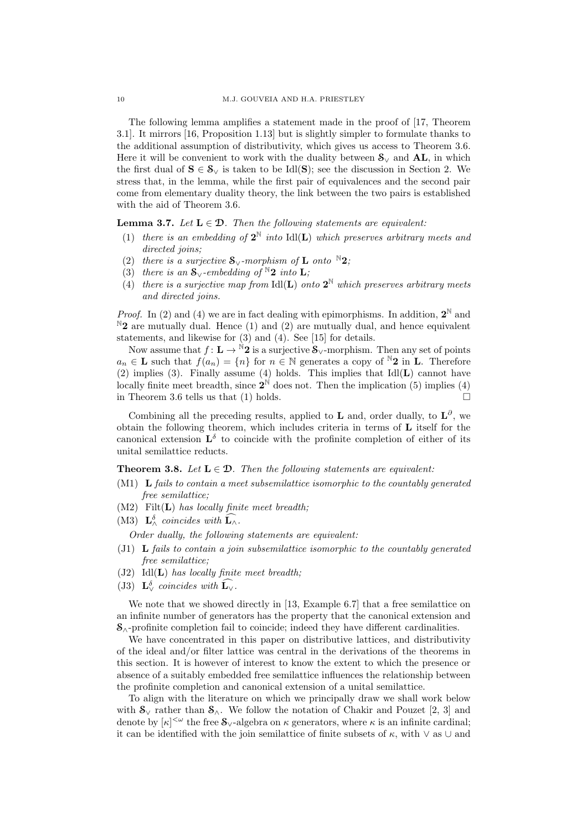The following lemma amplifies a statement made in the proof of [17, Theorem 3.1]. It mirrors [16, Proposition 1.13] but is slightly simpler to formulate thanks to the additional assumption of distributivity, which gives us access to Theorem 3.6. Here it will be convenient to work with the duality between  $S_{\vee}$  and **AL**, in which the first dual of  $S \in \mathcal{S}_{\vee}$  is taken to be Idl(S); see the discussion in Section 2. We stress that, in the lemma, while the first pair of equivalences and the second pair come from elementary duality theory, the link between the two pairs is established with the aid of Theorem 3.6.

**Lemma 3.7.** Let  $L \in \mathcal{D}$ . Then the following statements are equivalent:

- (1) there is an embedding of  $2^{\mathbb{N}}$  into Idl(**L**) which preserves arbitrary meets and directed joins;
- (2) there is a surjective  $S_{\vee}$ -morphism of **L** onto <sup>N</sup>2;
- (3) there is an  $\mathbf{S}_{\vee}$ -embedding of  $\mathbb{N}2$  into **L**;
- (4) there is a surjective map from  $\text{Id}(\mathbf{L})$  onto  $\mathbf{2}^{\mathbb{N}}$  which preserves arbitrary meets and directed joins.

*Proof.* In (2) and (4) we are in fact dealing with epimorphisms. In addition,  $2^{\mathbb{N}}$  and  $N_2$  are mutually dual. Hence (1) and (2) are mutually dual, and hence equivalent statements, and likewise for (3) and (4). See [15] for details.

Now assume that  $f: L \to N^2 2$  is a surjective  $S_{\vee}$ -morphism. Then any set of points  $a_n \in \mathbf{L}$  such that  $f(a_n) = \{n\}$  for  $n \in \mathbb{N}$  generates a copy of  $\mathbb{N}2$  in  $\mathbf{L}$ . Therefore (2) implies (3). Finally assume (4) holds. This implies that  $IdI(L)$  cannot have locally finite meet breadth, since  $2^{\mathbb{N}}$  does not. Then the implication (5) implies (4) in Theorem 3.6 tells us that (1) holds.  $\square$ 

Combining all the preceding results, applied to **L** and, order dually, to  $\mathbf{L}^{\partial}$ , we obtain the following theorem, which includes criteria in terms of L itself for the canonical extension  $\mathbf{L}^{\delta}$  to coincide with the profinite completion of either of its unital semilattice reducts.

# **Theorem 3.8.** Let  $L \in \mathcal{D}$ . Then the following statements are equivalent:

- $(M1)$  L fails to contain a meet subsemilattice isomorphic to the countably generated free semilattice;
- $(M2)$  Filt $(L)$  has locally finite meet breadth;
- (M3)  $\mathbf{L}_{\wedge}^{\delta}$  coincides with  $\widehat{\mathbf{L}_{\wedge}}$ .
- Order dually, the following statements are equivalent:
- (J1) L fails to contain a join subsemilattice isomorphic to the countably generated free semilattice;
- $(J2)$  Idl $(L)$  has locally finite meet breadth;
- (J3)  $\mathbf{L}_{\vee}^{\delta}$  coincides with  $\mathbf{\hat{L}}_{\vee}$ .

We note that we showed directly in [13, Example 6.7] that a free semilattice on an infinite number of generators has the property that the canonical extension and  $S_{\wedge}$ -profinite completion fail to coincide; indeed they have different cardinalities.

We have concentrated in this paper on distributive lattices, and distributivity of the ideal and/or filter lattice was central in the derivations of the theorems in this section. It is however of interest to know the extent to which the presence or absence of a suitably embedded free semilattice influences the relationship between the profinite completion and canonical extension of a unital semilattice.

To align with the literature on which we principally draw we shall work below with  $S_{\vee}$  rather than  $S_{\wedge}$ . We follow the notation of Chakir and Pouzet [2, 3] and denote by  $[\kappa]^{<\omega}$  the free  $\mathcal{S}_{\vee}$ -algebra on  $\kappa$  generators, where  $\kappa$  is an infinite cardinal; it can be identified with the join semilattice of finite subsets of  $\kappa$ , with  $\vee$  as ∪ and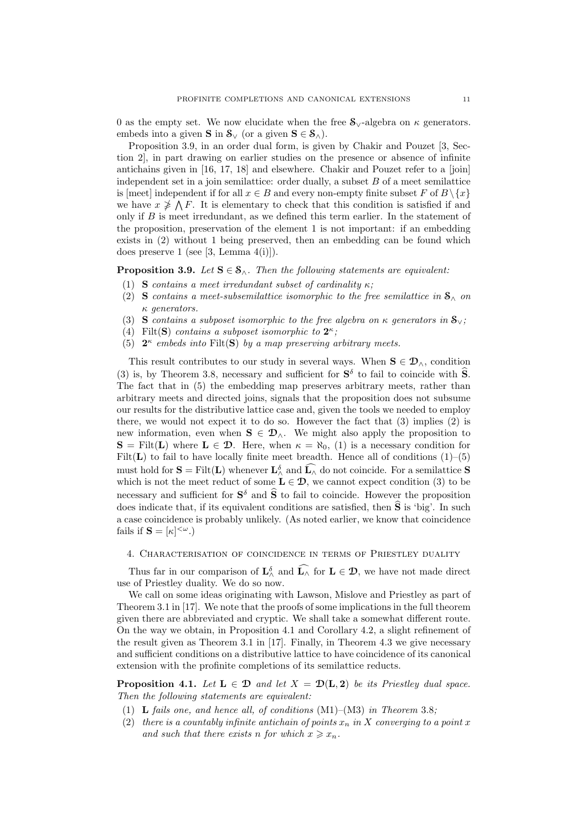0 as the empty set. We now elucidate when the free  $S_{\vee}$ -algebra on  $\kappa$  generators. embeds into a given  $\mathbf{S}$  in  $\mathbf{S}_{\vee}$  (or a given  $\mathbf{S} \in \mathbf{S}_{\wedge}$ ).

Proposition 3.9, in an order dual form, is given by Chakir and Pouzet [3, Section 2], in part drawing on earlier studies on the presence or absence of infinite antichains given in [16, 17, 18] and elsewhere. Chakir and Pouzet refer to a [join] independent set in a join semilattice: order dually, a subset  $B$  of a meet semilattice is [meet] independent if for all  $x \in B$  and every non-empty finite subset F of  $B \setminus \{x\}$ we have  $x \ngeq \bigwedge F$ . It is elementary to check that this condition is satisfied if and only if B is meet irredundant, as we defined this term earlier. In the statement of the proposition, preservation of the element 1 is not important: if an embedding exists in (2) without 1 being preserved, then an embedding can be found which does preserve 1 (see [3, Lemma 4(i)]).

#### **Proposition 3.9.** Let  $S \in \mathcal{S}_{\wedge}$ . Then the following statements are equivalent:

- (1) S contains a meet irredundant subset of cardinality  $\kappa$ ;
- (2) S contains a meet-subsemilattice isomorphic to the free semilattice in  $\mathbf{S}_{\wedge}$  on κ generators.
- (3) S contains a subposet isomorphic to the free algebra on  $\kappa$  generators in  $\mathbf{S}_{\vee}$ ;
- (4) Filt(S) contains a subposet isomorphic to  $2^{\kappa}$ ;
- (5)  $2^{\kappa}$  embeds into Filt(S) by a map preserving arbitrary meets.

This result contributes to our study in several ways. When  $S \in \mathcal{D}_\wedge$ , condition (3) is, by Theorem 3.8, necessary and sufficient for  $S^{\delta}$  to fail to coincide with  $\hat{S}$ . The fact that in (5) the embedding map preserves arbitrary meets, rather than arbitrary meets and directed joins, signals that the proposition does not subsume our results for the distributive lattice case and, given the tools we needed to employ there, we would not expect it to do so. However the fact that  $(3)$  implies  $(2)$  is new information, even when  $S \in \mathcal{D}_{\wedge}$ . We might also apply the proposition to  $S = \text{Filt}(L)$  where  $L \in \mathcal{D}$ . Here, when  $\kappa = \aleph_0$ , (1) is a necessary condition for Filt( $L$ ) to fail to have locally finite meet breadth. Hence all of conditions  $(1)$ – $(5)$ must hold for  $S = \text{Filt}(L)$  whenever  $L^{\delta}_{\land}$  and  $\widehat{L_{\land}}$  do not coincide. For a semilattice S which is not the meet reduct of some  $L \in \mathcal{D}$ , we cannot expect condition (3) to be necessary and sufficient for  $S^{\delta}$  and  $\hat{S}$  to fail to coincide. However the proposition does indicate that, if its equivalent conditions are satisfied, then  $\hat{S}$  is 'big'. In such a case coincidence is probably unlikely. (As noted earlier, we know that coincidence fails if  $\mathbf{S} = [\kappa]^{<\omega}$ .)

# 4. Characterisation of coincidence in terms of Priestley duality

Thus far in our comparison of  $\mathbf{L}^{\delta}_{\wedge}$  and  $\widehat{\mathbf{L}_{\wedge}}$  for  $\mathbf{L} \in \mathcal{D}$ , we have not made direct use of Priestley duality. We do so now.

We call on some ideas originating with Lawson, Mislove and Priestley as part of Theorem 3.1 in [17]. We note that the proofs of some implications in the full theorem given there are abbreviated and cryptic. We shall take a somewhat different route. On the way we obtain, in Proposition 4.1 and Corollary 4.2, a slight refinement of the result given as Theorem 3.1 in [17]. Finally, in Theorem 4.3 we give necessary and sufficient conditions on a distributive lattice to have coincidence of its canonical extension with the profinite completions of its semilattice reducts.

**Proposition 4.1.** Let  $L \in \mathcal{D}$  and let  $X = \mathcal{D}(L, 2)$  be its Priestley dual space. Then the following statements are equivalent:

- (1) **L** fails one, and hence all, of conditions  $(M1)–(M3)$  in Theorem 3.8;
- (2) there is a countably infinite antichain of points  $x_n$  in X converging to a point x and such that there exists n for which  $x \geq x_n$ .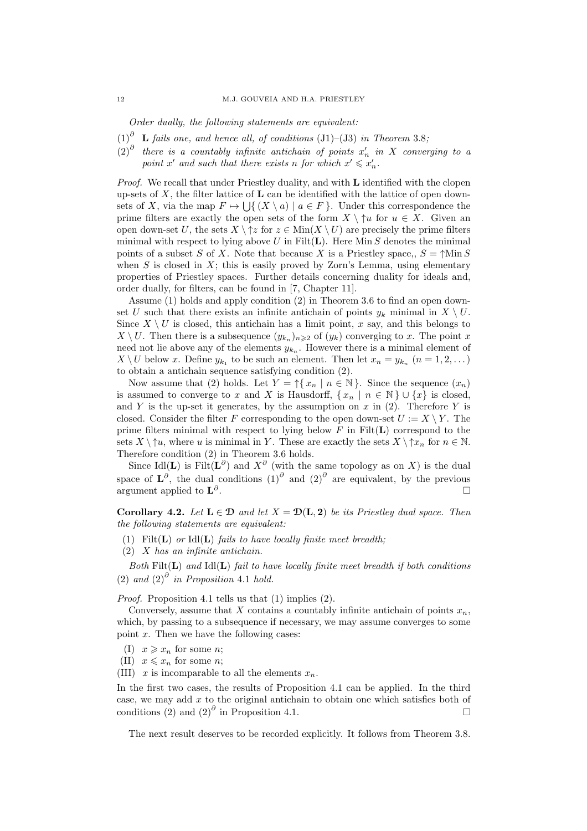Order dually, the following statements are equivalent:

- $(1)^{\partial}$  **L** fails one, and hence all, of conditions (J1)–(J3) in Theorem 3.8;
- $(2)^{\partial}$  there is a countably infinite antichain of points  $x'_n$  in X converging to a point x' and such that there exists n for which  $x' \leq x'_n$ .

*Proof.* We recall that under Priestley duality, and with  $\bf{L}$  identified with the clopen up-sets of  $X$ , the filter lattice of  $L$  can be identified with the lattice of open downsets of X, via the map  $F \mapsto \bigcup \{ (X \setminus a) \mid a \in F \}$ . Under this correspondence the prime filters are exactly the open sets of the form  $X \setminus \mathcal{M}$  for  $u \in X$ . Given an open down-set U, the sets  $X \setminus \uparrow z$  for  $z \in \text{Min}(X \setminus U)$  are precisely the prime filters minimal with respect to lying above  $U$  in Filt $(L)$ . Here Min  $S$  denotes the minimal points of a subset S of X. Note that because X is a Priestley space,,  $S = \uparrow \text{Min } S$ when S is closed in  $X$ ; this is easily proved by Zorn's Lemma, using elementary properties of Priestley spaces. Further details concerning duality for ideals and, order dually, for filters, can be found in [7, Chapter 11].

Assume (1) holds and apply condition (2) in Theorem 3.6 to find an open downset U such that there exists an infinite antichain of points  $y_k$  minimal in  $X \setminus U$ . Since  $X \setminus U$  is closed, this antichain has a limit point, x say, and this belongs to  $X \setminus U$ . Then there is a subsequence  $(y_{k_n})_{n \geqslant 2}$  of  $(y_k)$  converging to x. The point x need not lie above any of the elements  $y_{k_n}$ . However there is a minimal element of  $X \setminus U$  below x. Define  $y_{k_1}$  to be such an element. Then let  $x_n = y_{k_n}$   $(n = 1, 2, ...)$ to obtain a antichain sequence satisfying condition (2).

Now assume that (2) holds. Let  $Y = \uparrow \{x_n \mid n \in \mathbb{N}\}\.$  Since the sequence  $(x_n)$ is assumed to converge to x and X is Hausdorff,  $\{x_n \mid n \in \mathbb{N}\} \cup \{x\}$  is closed. and Y is the up-set it generates, by the assumption on x in  $(2)$ . Therefore Y is closed. Consider the filter F corresponding to the open down-set  $U := X \setminus Y$ . The prime filters minimal with respect to lying below  $F$  in  $Filt(L)$  correspond to the sets  $X \setminus \uparrow u$ , where u is minimal in Y. These are exactly the sets  $X \setminus \uparrow x_n$  for  $n \in \mathbb{N}$ . Therefore condition (2) in Theorem 3.6 holds.

Since Idl(L) is Filt( $\mathbf{L}^{\partial}$ ) and  $X^{\partial}$  (with the same topology as on X) is the dual space of  $\mathbf{L}^{\partial}$ , the dual conditions  $(1)$ <sup> $\partial$ </sup> and  $(2)$ <sup> $\partial$ </sup> are equivalent, by the previous argument applied to  $\mathbf{L}^{\partial}$ .

Corollary 4.2. Let  $L \in \mathcal{D}$  and let  $X = \mathcal{D}(L, 2)$  be its Priestley dual space. Then the following statements are equivalent:

- (1) Filt( $\bf{L}$ ) or Idl( $\bf{L}$ ) fails to have locally finite meet breadth;
- (2) X has an infinite antichain.

Both  $Filt(L)$  and  $Idl(L)$  fail to have locally finite meet breadth if both conditions (2) and  $(2)^0$  in Proposition 4.1 hold.

Proof. Proposition 4.1 tells us that (1) implies (2).

Conversely, assume that X contains a countably infinite antichain of points  $x_n$ , which, by passing to a subsequence if necessary, we may assume converges to some point  $x$ . Then we have the following cases:

- (I)  $x \geqslant x_n$  for some *n*;
- (II)  $x \leqslant x_n$  for some *n*;

(III) x is incomparable to all the elements  $x_n$ .

In the first two cases, the results of Proposition 4.1 can be applied. In the third case, we may add  $x$  to the original antichain to obtain one which satisfies both of conditions (2) and  $(2)^{\partial}$  in Proposition 4.1.

The next result deserves to be recorded explicitly. It follows from Theorem 3.8.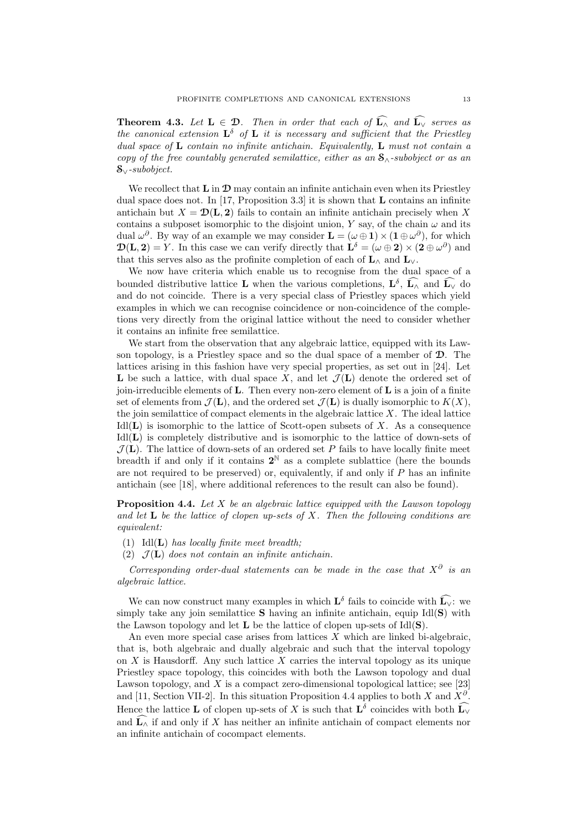**Theorem 4.3.** Let  $L \in \mathcal{D}$ . Then in order that each of  $\widehat{L_{\wedge}}$  and  $\widehat{L_{\vee}}$  serves as the canonical extension  $\mathbf{L}^{\delta}$  of  $\mathbf{L}$  it is necessary and sufficient that the Priestley dual space of  $L$  contain no infinite antichain. Equivalently,  $L$  must not contain a copy of the free countably generated semilattice, either as an  $S_0$ -subobject or as an S∨-subobject.

We recollect that  $\mathbf{L}$  in  $\mathbf{D}$  may contain an infinite antichain even when its Priestley dual space does not. In [17, Proposition 3.3] it is shown that  **contains an infinite** antichain but  $X = \mathcal{D}(L, 2)$  fails to contain an infinite antichain precisely when X contains a subposet isomorphic to the disjoint union, Y say, of the chain  $\omega$  and its dual  $\omega^{\partial}$ . By way of an example we may consider  $\mathbf{L} = (\omega \oplus \mathbf{1}) \times (\mathbf{1} \oplus \omega^{\partial})$ , for which  $\mathbf{D}(\mathbf{L}, \mathbf{2}) = Y$ . In this case we can verify directly that  $\mathbf{L}^{\delta} = (\omega \oplus \mathbf{2}) \times (\mathbf{2} \oplus \omega^{\partial})$  and that this serves also as the profinite completion of each of  $L_$  A and  $L_$ .

We now have criteria which enable us to recognise from the dual space of a bounded distributive lattice **L** when the various completions,  $\mathbf{L}^{\delta}$ ,  $\mathbf{\hat{L}}_{\wedge}$  and  $\mathbf{\hat{L}}_{\vee}$  do and do not coincide. There is a very special class of Priestley spaces which yield examples in which we can recognise coincidence or non-coincidence of the completions very directly from the original lattice without the need to consider whether it contains an infinite free semilattice.

We start from the observation that any algebraic lattice, equipped with its Lawson topology, is a Priestley space and so the dual space of a member of  $\mathcal{D}$ . The lattices arising in this fashion have very special properties, as set out in [24]. Let **L** be such a lattice, with dual space X, and let  $\mathcal{J}(\mathbf{L})$  denote the ordered set of join-irreducible elements of  $L$ . Then every non-zero element of  $L$  is a join of a finite set of elements from  $\mathcal{J}(\mathbf{L})$ , and the ordered set  $\mathcal{J}(\mathbf{L})$  is dually isomorphic to  $K(X)$ , the join semilattice of compact elements in the algebraic lattice  $X$ . The ideal lattice  $IdI(L)$  is isomorphic to the lattice of Scott-open subsets of X. As a consequence Idl(L) is completely distributive and is isomorphic to the lattice of down-sets of  $\mathcal{J}(\mathbf{L})$ . The lattice of down-sets of an ordered set P fails to have locally finite meet breadth if and only if it contains  $2^N$  as a complete sublattice (here the bounds are not required to be preserved) or, equivalently, if and only if  $P$  has an infinite antichain (see [18], where additional references to the result can also be found).

**Proposition 4.4.** Let X be an algebraic lattice equipped with the Lawson topology and let  $\bf{L}$  be the lattice of clopen up-sets of X. Then the following conditions are equivalent:

- (1) Idl $(L)$  has locally finite meet breadth;
- (2)  $\mathcal{J}(\mathbf{L})$  does not contain an infinite antichain.

Corresponding order-dual statements can be made in the case that  $X^{\partial}$  is an algebraic lattice.

We can now construct many examples in which  $\mathbf{L}^{\delta}$  fails to coincide with  $\widehat{\mathbf{L}_{\vee}}$ : we simply take any join semilattice  $S$  having an infinite antichain, equip Idl $(S)$  with the Lawson topology and let  $L$  be the lattice of clopen up-sets of Idl $(S)$ .

An even more special case arises from lattices  $X$  which are linked bi-algebraic, that is, both algebraic and dually algebraic and such that the interval topology on  $X$  is Hausdorff. Any such lattice  $X$  carries the interval topology as its unique Priestley space topology, this coincides with both the Lawson topology and dual Lawson topology, and  $X$  is a compact zero-dimensional topological lattice; see [23] and [11, Section VII-2]. In this situation Proposition 4.4 applies to both X and  $X^{\partial}$ . Hence the lattice **L** of clopen up-sets of X is such that  $\mathbf{L}^{\delta}$  coincides with both  $\widehat{\mathbf{L}_{\vee}}$ and  $\widehat{\mathbf{L}_{\wedge}}$  if and only if X has neither an infinite antichain of compact elements nor an infinite antichain of cocompact elements.